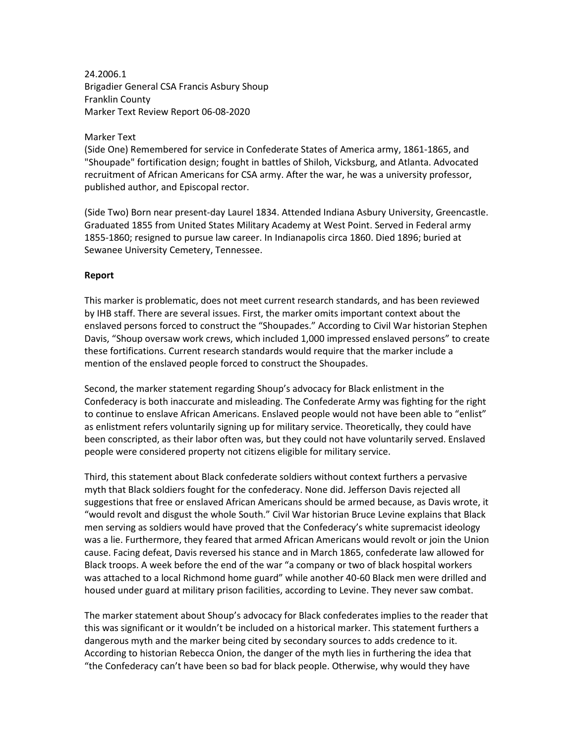24.2006.1 Brigadier General CSA Francis Asbury Shoup Franklin County Marker Text Review Report 06-08-2020

## Marker Text

(Side One) Remembered for service in Confederate States of America army, 1861-1865, and "Shoupade" fortification design; fought in battles of Shiloh, Vicksburg, and Atlanta. Advocated recruitment of African Americans for CSA army. After the war, he was a university professor, published author, and Episcopal rector.

(Side Two) Born near present-day Laurel 1834. Attended Indiana Asbury University, Greencastle. Graduated 1855 from United States Military Academy at West Point. Served in Federal army 1855-1860; resigned to pursue law career. In Indianapolis circa 1860. Died 1896; buried at Sewanee University Cemetery, Tennessee.

## **Report**

This marker is problematic, does not meet current research standards, and has been reviewed by IHB staff. There are several issues. First, the marker omits important context about the enslaved persons forced to construct the "Shoupades." According to Civil War historian Stephen Davis, "Shoup oversaw work crews, which included 1,000 impressed enslaved persons" to create these fortifications. Current research standards would require that the marker include a mention of the enslaved people forced to construct the Shoupades.

Second, the marker statement regarding Shoup's advocacy for Black enlistment in the Confederacy is both inaccurate and misleading. The Confederate Army was fighting for the right to continue to enslave African Americans. Enslaved people would not have been able to "enlist" as enlistment refers voluntarily signing up for military service. Theoretically, they could have been conscripted, as their labor often was, but they could not have voluntarily served. Enslaved people were considered property not citizens eligible for military service.

Third, this statement about Black confederate soldiers without context furthers a pervasive myth that Black soldiers fought for the confederacy. None did. Jefferson Davis rejected all suggestions that free or enslaved African Americans should be armed because, as Davis wrote, it "would revolt and disgust the whole South." Civil War historian Bruce Levine explains that Black men serving as soldiers would have proved that the Confederacy's white supremacist ideology was a lie. Furthermore, they feared that armed African Americans would revolt or join the Union cause. Facing defeat, Davis reversed his stance and in March 1865, confederate law allowed for Black troops. A week before the end of the war "a company or two of black hospital workers was attached to a local Richmond home guard" while another 40-60 Black men were drilled and housed under guard at military prison facilities, according to Levine. They never saw combat.

The marker statement about Shoup's advocacy for Black confederates implies to the reader that this was significant or it wouldn't be included on a historical marker. This statement furthers a dangerous myth and the marker being cited by secondary sources to adds credence to it. According to historian Rebecca Onion, the danger of the myth lies in furthering the idea that "the Confederacy can't have been so bad for black people. Otherwise, why would they have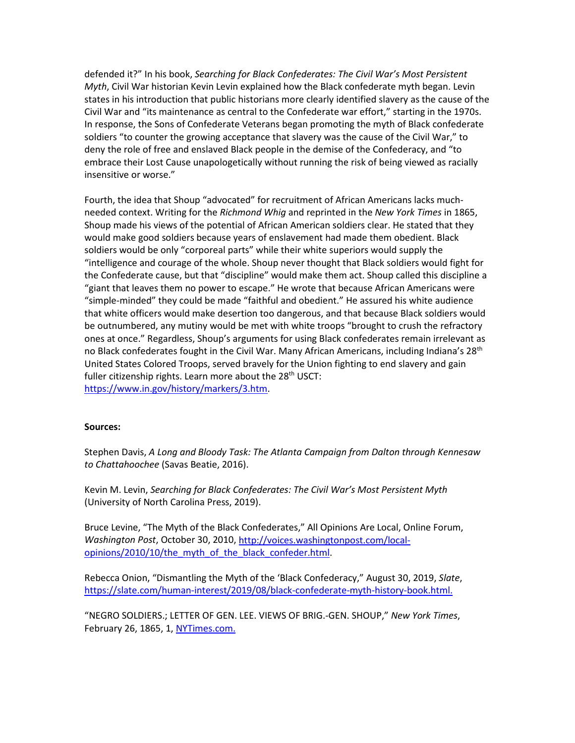defended it?" In his book, *Searching for Black Confederates: The Civil War's Most Persistent Myth*, Civil War historian Kevin Levin explained how the Black confederate myth began. Levin states in his introduction that public historians more clearly identified slavery as the cause of the Civil War and "its maintenance as central to the Confederate war effort," starting in the 1970s. In response, the Sons of Confederate Veterans began promoting the myth of Black confederate soldiers "to counter the growing acceptance that slavery was the cause of the Civil War," to deny the role of free and enslaved Black people in the demise of the Confederacy, and "to embrace their Lost Cause unapologetically without running the risk of being viewed as racially insensitive or worse."

Fourth, the idea that Shoup "advocated" for recruitment of African Americans lacks muchneeded context. Writing for the *Richmond Whig* and reprinted in the *New York Times* in 1865, Shoup made his views of the potential of African American soldiers clear. He stated that they would make good soldiers because years of enslavement had made them obedient. Black soldiers would be only "corporeal parts" while their white superiors would supply the "intelligence and courage of the whole. Shoup never thought that Black soldiers would fight for the Confederate cause, but that "discipline" would make them act. Shoup called this discipline a "giant that leaves them no power to escape." He wrote that because African Americans were "simple-minded" they could be made "faithful and obedient." He assured his white audience that white officers would make desertion too dangerous, and that because Black soldiers would be outnumbered, any mutiny would be met with white troops "brought to crush the refractory ones at once." Regardless, Shoup's arguments for using Black confederates remain irrelevant as no Black confederates fought in the Civil War. Many African Americans, including Indiana's 28<sup>th</sup> United States Colored Troops, served bravely for the Union fighting to end slavery and gain fuller citizenship rights. Learn more about the  $28<sup>th</sup>$  USCT: [https://www.in.gov/history/markers/3.htm.](https://www.in.gov/history/markers/3.htm)

## **Sources:**

Stephen Davis, *A Long and Bloody Task: The Atlanta Campaign from Dalton through Kennesaw to Chattahoochee* (Savas Beatie, 2016).

Kevin M. Levin, *Searching for Black Confederates: The Civil War's Most Persistent Myth* (University of North Carolina Press, 2019).

Bruce Levine, "The Myth of the Black Confederates," All Opinions Are Local, Online Forum, *Washington Post*, October 30, 2010, [http://voices.washingtonpost.com/local](http://voices.washingtonpost.com/local-opinions/2010/10/the_myth_of_the_black_confeder.html)[opinions/2010/10/the\\_myth\\_of\\_the\\_black\\_confeder.html.](http://voices.washingtonpost.com/local-opinions/2010/10/the_myth_of_the_black_confeder.html)

Rebecca Onion, "Dismantling the Myth of the 'Black Confederacy," August 30, 2019, *Slate*, [https://slate.com/human-interest/2019/08/black-confederate-myth-history-book.html.](https://slate.com/human-interest/2019/08/black-confederate-myth-history-book.html)

"NEGRO SOLDIERS.; LETTER OF GEN. LEE. VIEWS OF BRIG.-GEN. SHOUP," *New York Times*, February 26, 1865, 1, [NYTimes.com.](https://www.nytimes.com/1865/02/26/archives/negro-soldiers-letter-of-gen-lee-views-of-briggen-shoup.html?auth=link-dismiss-google1tap)